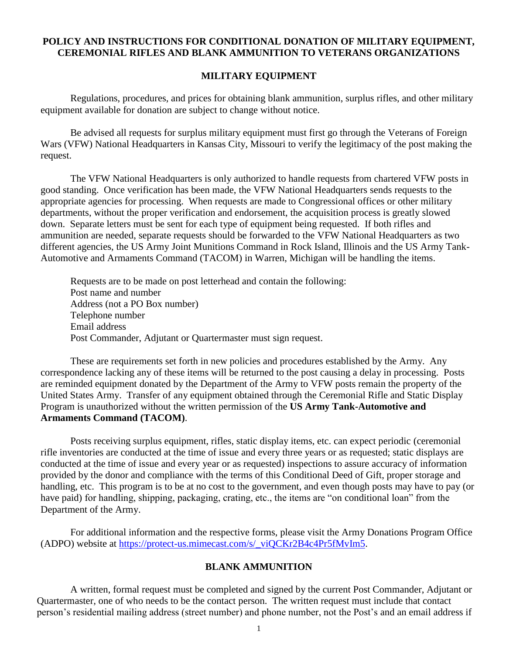# **POLICY AND INSTRUCTIONS FOR CONDITIONAL DONATION OF MILITARY EQUIPMENT, CEREMONIAL RIFLES AND BLANK AMMUNITION TO VETERANS ORGANIZATIONS**

### **MILITARY EQUIPMENT**

Regulations, procedures, and prices for obtaining blank ammunition, surplus rifles, and other military equipment available for donation are subject to change without notice.

Be advised all requests for surplus military equipment must first go through the Veterans of Foreign Wars (VFW) National Headquarters in Kansas City, Missouri to verify the legitimacy of the post making the request.

The VFW National Headquarters is only authorized to handle requests from chartered VFW posts in good standing. Once verification has been made, the VFW National Headquarters sends requests to the appropriate agencies for processing. When requests are made to Congressional offices or other military departments, without the proper verification and endorsement, the acquisition process is greatly slowed down. Separate letters must be sent for each type of equipment being requested. If both rifles and ammunition are needed, separate requests should be forwarded to the VFW National Headquarters as two different agencies, the US Army Joint Munitions Command in Rock Island, Illinois and the US Army Tank-Automotive and Armaments Command (TACOM) in Warren, Michigan will be handling the items.

Requests are to be made on post letterhead and contain the following: Post name and number Address (not a PO Box number) Telephone number Email address Post Commander, Adjutant or Quartermaster must sign request.

These are requirements set forth in new policies and procedures established by the Army. Any correspondence lacking any of these items will be returned to the post causing a delay in processing. Posts are reminded equipment donated by the Department of the Army to VFW posts remain the property of the United States Army. Transfer of any equipment obtained through the Ceremonial Rifle and Static Display Program is unauthorized without the written permission of the **US Army Tank-Automotive and Armaments Command (TACOM)**.

Posts receiving surplus equipment, rifles, static display items, etc. can expect periodic (ceremonial rifle inventories are conducted at the time of issue and every three years or as requested; static displays are conducted at the time of issue and every year or as requested) inspections to assure accuracy of information provided by the donor and compliance with the terms of this Conditional Deed of Gift, proper storage and handling, etc. This program is to be at no cost to the government, and even though posts may have to pay (or have paid) for handling, shipping, packaging, crating, etc., the items are "on conditional loan" from the Department of the Army.

For additional information and the respective forms, please visit the Army Donations Program Office (ADPO) website at [https://protect-us.mimecast.com/s/\\_viQCKr2B4c4Pr5fMvIm5.](https://protect-us.mimecast.com/s/_viQCKr2B4c4Pr5fMvIm5)

## **BLANK AMMUNITION**

A written, formal request must be completed and signed by the current Post Commander, Adjutant or Quartermaster, one of who needs to be the contact person. The written request must include that contact person's residential mailing address (street number) and phone number, not the Post's and an email address if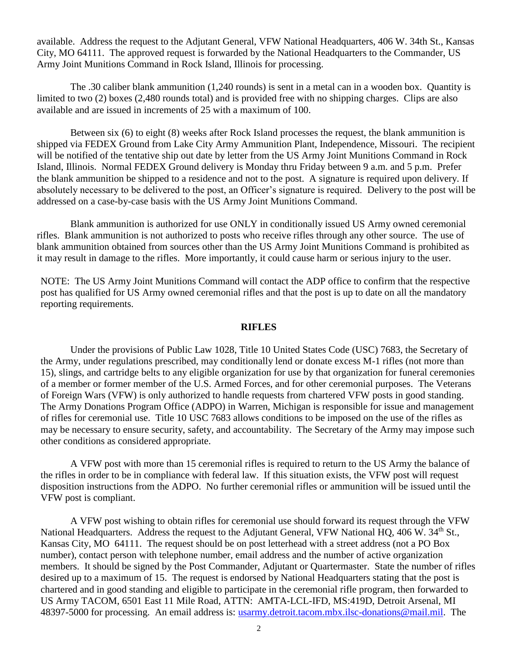available. Address the request to the Adjutant General, VFW National Headquarters, 406 W. 34th St., Kansas City, MO 64111. The approved request is forwarded by the National Headquarters to the Commander, US Army Joint Munitions Command in Rock Island, Illinois for processing.

The .30 caliber blank ammunition (1,240 rounds) is sent in a metal can in a wooden box. Quantity is limited to two (2) boxes (2,480 rounds total) and is provided free with no shipping charges. Clips are also available and are issued in increments of 25 with a maximum of 100.

Between six (6) to eight (8) weeks after Rock Island processes the request, the blank ammunition is shipped via FEDEX Ground from Lake City Army Ammunition Plant, Independence, Missouri. The recipient will be notified of the tentative ship out date by letter from the US Army Joint Munitions Command in Rock Island, Illinois. Normal FEDEX Ground delivery is Monday thru Friday between 9 a.m. and 5 p.m. Prefer the blank ammunition be shipped to a residence and not to the post. A signature is required upon delivery. If absolutely necessary to be delivered to the post, an Officer's signature is required. Delivery to the post will be addressed on a case-by-case basis with the US Army Joint Munitions Command.

Blank ammunition is authorized for use ONLY in conditionally issued US Army owned ceremonial rifles. Blank ammunition is not authorized to posts who receive rifles through any other source. The use of blank ammunition obtained from sources other than the US Army Joint Munitions Command is prohibited as it may result in damage to the rifles. More importantly, it could cause harm or serious injury to the user.

NOTE: The US Army Joint Munitions Command will contact the ADP office to confirm that the respective post has qualified for US Army owned ceremonial rifles and that the post is up to date on all the mandatory reporting requirements.

#### **RIFLES**

Under the provisions of Public Law 1028, Title 10 United States Code (USC) 7683, the Secretary of the Army, under regulations prescribed, may conditionally lend or donate excess M-1 rifles (not more than 15), slings, and cartridge belts to any eligible organization for use by that organization for funeral ceremonies of a member or former member of the U.S. Armed Forces, and for other ceremonial purposes. The Veterans of Foreign Wars (VFW) is only authorized to handle requests from chartered VFW posts in good standing. The Army Donations Program Office (ADPO) in Warren, Michigan is responsible for issue and management of rifles for ceremonial use. Title 10 USC 7683 allows conditions to be imposed on the use of the rifles as may be necessary to ensure security, safety, and accountability. The Secretary of the Army may impose such other conditions as considered appropriate.

A VFW post with more than 15 ceremonial rifles is required to return to the US Army the balance of the rifles in order to be in compliance with federal law. If this situation exists, the VFW post will request disposition instructions from the ADPO. No further ceremonial rifles or ammunition will be issued until the VFW post is compliant.

A VFW post wishing to obtain rifles for ceremonial use should forward its request through the VFW National Headquarters. Address the request to the Adjutant General, VFW National HQ, 406 W. 34<sup>th</sup> St., Kansas City, MO 64111. The request should be on post letterhead with a street address (not a PO Box number), contact person with telephone number, email address and the number of active organization members. It should be signed by the Post Commander, Adjutant or Quartermaster. State the number of rifles desired up to a maximum of 15. The request is endorsed by National Headquarters stating that the post is chartered and in good standing and eligible to participate in the ceremonial rifle program, then forwarded to US Army TACOM, 6501 East 11 Mile Road, ATTN: AMTA-LCL-IFD, MS:419D, Detroit Arsenal, MI 48397-5000 for processing. An email address is: [usarmy.detroit.tacom.mbx.ilsc-donations@mail.mil.](mailto:usarmy.detroit.tacom.mbx.ilsc-donations@mail.mil) The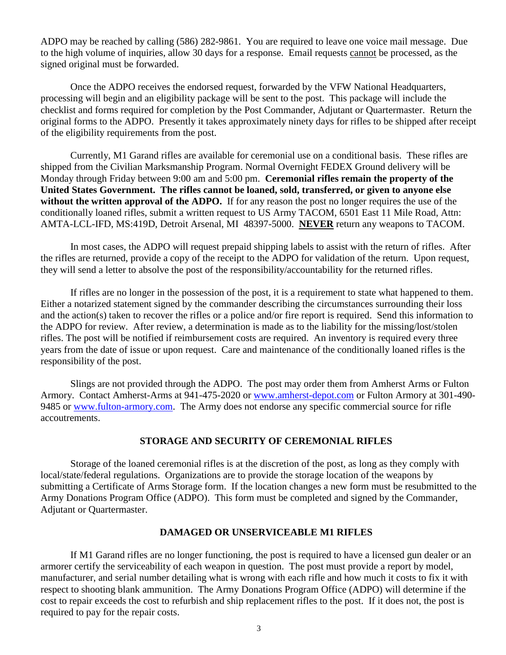ADPO may be reached by calling (586) 282-9861. You are required to leave one voice mail message. Due to the high volume of inquiries, allow 30 days for a response. Email requests cannot be processed, as the signed original must be forwarded.

Once the ADPO receives the endorsed request, forwarded by the VFW National Headquarters, processing will begin and an eligibility package will be sent to the post. This package will include the checklist and forms required for completion by the Post Commander, Adjutant or Quartermaster. Return the original forms to the ADPO. Presently it takes approximately ninety days for rifles to be shipped after receipt of the eligibility requirements from the post.

Currently, M1 Garand rifles are available for ceremonial use on a conditional basis. These rifles are shipped from the Civilian Marksmanship Program. Normal Overnight FEDEX Ground delivery will be Monday through Friday between 9:00 am and 5:00 pm. **Ceremonial rifles remain the property of the United States Government. The rifles cannot be loaned, sold, transferred, or given to anyone else without the written approval of the ADPO.** If for any reason the post no longer requires the use of the conditionally loaned rifles, submit a written request to US Army TACOM, 6501 East 11 Mile Road, Attn: AMTA-LCL-IFD, MS:419D, Detroit Arsenal, MI 48397-5000. **NEVER** return any weapons to TACOM.

In most cases, the ADPO will request prepaid shipping labels to assist with the return of rifles. After the rifles are returned, provide a copy of the receipt to the ADPO for validation of the return. Upon request, they will send a letter to absolve the post of the responsibility/accountability for the returned rifles.

If rifles are no longer in the possession of the post, it is a requirement to state what happened to them. Either a notarized statement signed by the commander describing the circumstances surrounding their loss and the action(s) taken to recover the rifles or a police and/or fire report is required. Send this information to the ADPO for review. After review, a determination is made as to the liability for the missing/lost/stolen rifles. The post will be notified if reimbursement costs are required. An inventory is required every three years from the date of issue or upon request. Care and maintenance of the conditionally loaned rifles is the responsibility of the post.

Slings are not provided through the ADPO. The post may order them from Amherst Arms or Fulton Armory. Contact Amherst-Arms at 941-475-2020 or [www.amherst-depot.com](http://www.amherst-depot.com/) or Fulton Armory at 301-490- 9485 or [www.fulton-armory.com.](http://www.fulton-armory.com/) The Army does not endorse any specific commercial source for rifle accoutrements.

## **STORAGE AND SECURITY OF CEREMONIAL RIFLES**

Storage of the loaned ceremonial rifles is at the discretion of the post, as long as they comply with local/state/federal regulations. Organizations are to provide the storage location of the weapons by submitting a Certificate of Arms Storage form. If the location changes a new form must be resubmitted to the Army Donations Program Office (ADPO). This form must be completed and signed by the Commander, Adjutant or Quartermaster.

### **DAMAGED OR UNSERVICEABLE M1 RIFLES**

If M1 Garand rifles are no longer functioning, the post is required to have a licensed gun dealer or an armorer certify the serviceability of each weapon in question. The post must provide a report by model, manufacturer, and serial number detailing what is wrong with each rifle and how much it costs to fix it with respect to shooting blank ammunition. The Army Donations Program Office (ADPO) will determine if the cost to repair exceeds the cost to refurbish and ship replacement rifles to the post. If it does not, the post is required to pay for the repair costs.